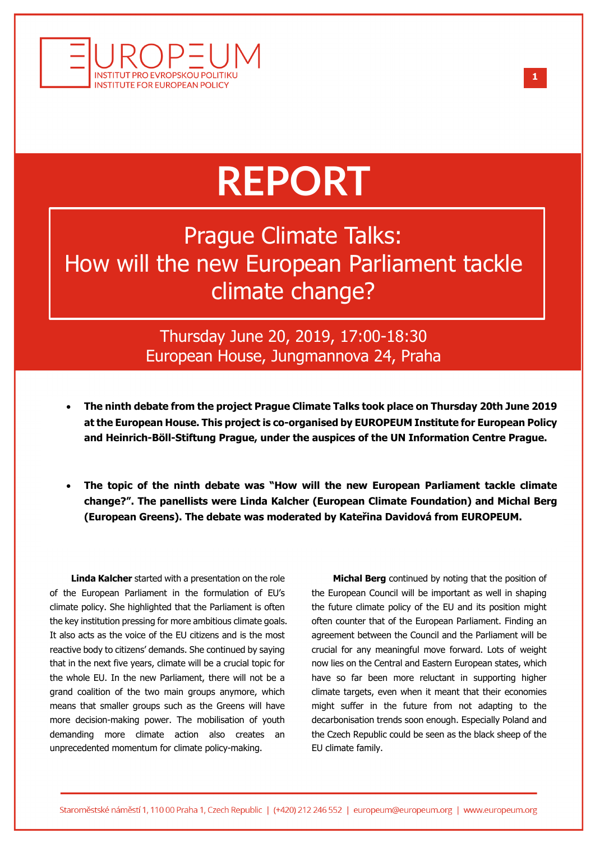

## **REPORT**

Prague Climate Talks: How will the new European Parliament tackle climate change?

> Thursday June 20, 2019, 17:00-18:30 European House, Jungmannova 24, Praha

- **The ninth debate from the project Prague Climate Talks took place on Thursday 20th June 2019 at the European House. This project is co-organised by EUROPEUM Institute for European Policy and Heinrich-Böll-Stiftung Prague, under the auspices of the UN Information Centre Prague.**
- **The topic of the ninth debate was "How will the new European Parliament tackle climate change?". The panellists were Linda Kalcher (European Climate Foundation) and Michal Berg (European Greens). The debate was moderated by Kateřina Davidová from EUROPEUM.**

**Linda Kalcher** started with a presentation on the role of the European Parliament in the formulation of EU's climate policy. She highlighted that the Parliament is often the key institution pressing for more ambitious climate goals. It also acts as the voice of the EU citizens and is the most reactive body to citizens' demands. She continued by saying that in the next five years, climate will be a crucial topic for the whole EU. In the new Parliament, there will not be a grand coalition of the two main groups anymore, which means that smaller groups such as the Greens will have more decision-making power. The mobilisation of youth demanding more climate action also creates an unprecedented momentum for climate policy-making.

**Michal Berg** continued by noting that the position of the European Council will be important as well in shaping the future climate policy of the EU and its position might often counter that of the European Parliament. Finding an agreement between the Council and the Parliament will be crucial for any meaningful move forward. Lots of weight now lies on the Central and Eastern European states, which have so far been more reluctant in supporting higher climate targets, even when it meant that their economies might suffer in the future from not adapting to the decarbonisation trends soon enough. Especially Poland and the Czech Republic could be seen as the black sheep of the EU climate family.